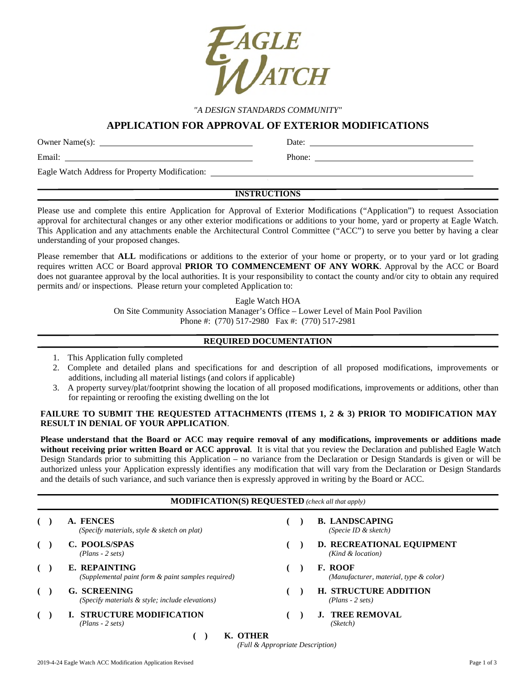

*"A DESIGN STANDARDS COMMUNITY"* 

# **APPLICATION FOR APPROVAL OF EXTERIOR MODIFICATIONS**

Owner Name(s): Date: Date: Date:

Email: Phone:

Eagle Watch Address for Property Modification:

# **INSTRUCTIONS**

Please use and complete this entire Application for Approval of Exterior Modifications ("Application") to request Association approval for architectural changes or any other exterior modifications or additions to your home, yard or property at Eagle Watch. This Application and any attachments enable the Architectural Control Committee ("ACC") to serve you better by having a clear understanding of your proposed changes.

Please remember that **ALL** modifications or additions to the exterior of your home or property, or to your yard or lot grading requires written ACC or Board approval **PRIOR TO COMMENCEMENT OF ANY WORK**. Approval by the ACC or Board does not guarantee approval by the local authorities. It is your responsibility to contact the county and/or city to obtain any required permits and/ or inspections. Please return your completed Application to:

Eagle Watch HOA

On Site Community Association Manager's Office – Lower Level of Main Pool Pavilion Phone #: (770) 517-2980 Fax #: (770) 517-2981

# **REQUIRED DOCUMENTATION**

- 1. This Application fully completed
- 2. Complete and detailed plans and specifications for and description of all proposed modifications, improvements or additions, including all material listings (and colors if applicable)
- 3. A property survey/plat/footprint showing the location of all proposed modifications, improvements or additions, other than for repainting or reroofing the existing dwelling on the lot

### FAILURE TO SUBMIT THE REQUESTED ATTACHMENTS (ITEMS 1, 2 & 3) PRIOR TO MODIFICATION MAY **RESULT IN DENIAL OF YOUR APPLICATION**.

**Please understand that the Board or ACC may require removal of any modifications, improvements or additions made without receiving prior written Board or ACC approval**. It is vital that you review the Declaration and published Eagle Watch Design Standards prior to submitting this Application – no variance from the Declaration or Design Standards is given or will be authorized unless your Application expressly identifies any modification that will vary from the Declaration or Design Standards and the details of such variance, and such variance then is expressly approved in writing by the Board or ACC.

## **MODIFICATION(S) REQUESTED** *(check all that apply)*

|  | A. FENCES<br>(Specify materials, style & sketch on plat)            |  | <b>B. LANDSCAPING</b><br>(Specie ID $&$ sketch)          |
|--|---------------------------------------------------------------------|--|----------------------------------------------------------|
|  | C. POOLS/SPAS<br>$(Plans - 2 sets)$                                 |  | D. RECREATIONAL EQUIPMENT<br>(Kind & location)           |
|  | E. REPAINTING<br>(Supplemental paint form & paint samples required) |  | <b>F. ROOF</b><br>(Manufacturer, material, type & color) |
|  | G. SCREENING<br>(Specify materials & style; include elevations)     |  | <b>H. STRUCTURE ADDITION</b><br>$(Plans - 2 sets)$       |
|  | <b>STRUCTURE MODIFICATION</b><br>$(Plans - 2 sets)$                 |  | <b>TREE REMOVAL</b><br>(Sketch)                          |
|  | LZ ATILIAD<br>$\sqrt{2}$                                            |  |                                                          |

**( ) K. OTHER**

*(Full & Appropriate Description)*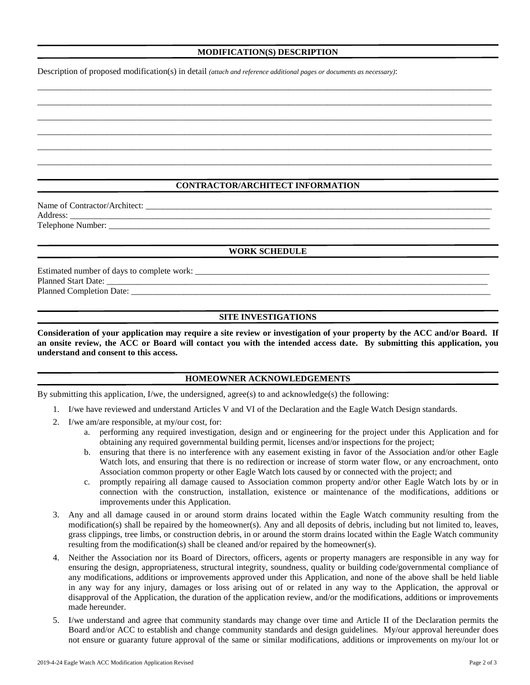#### **MODIFICATION(S) DESCRIPTION**

\_\_\_\_\_\_\_\_\_\_\_\_\_\_\_\_\_\_\_\_\_\_\_\_\_\_\_\_\_\_\_\_\_\_\_\_\_\_\_\_\_\_\_\_\_\_\_\_\_\_\_\_\_\_\_\_\_\_\_\_\_\_\_\_\_\_\_\_\_\_\_\_\_\_\_\_\_\_\_\_\_\_\_\_\_\_\_\_\_\_\_\_\_\_\_\_\_\_\_\_\_\_\_\_\_ \_\_\_\_\_\_\_\_\_\_\_\_\_\_\_\_\_\_\_\_\_\_\_\_\_\_\_\_\_\_\_\_\_\_\_\_\_\_\_\_\_\_\_\_\_\_\_\_\_\_\_\_\_\_\_\_\_\_\_\_\_\_\_\_\_\_\_\_\_\_\_\_\_\_\_\_\_\_\_\_\_\_\_\_\_\_\_\_\_\_\_\_\_\_\_\_\_\_\_\_\_\_\_\_\_ \_\_\_\_\_\_\_\_\_\_\_\_\_\_\_\_\_\_\_\_\_\_\_\_\_\_\_\_\_\_\_\_\_\_\_\_\_\_\_\_\_\_\_\_\_\_\_\_\_\_\_\_\_\_\_\_\_\_\_\_\_\_\_\_\_\_\_\_\_\_\_\_\_\_\_\_\_\_\_\_\_\_\_\_\_\_\_\_\_\_\_\_\_\_\_\_\_\_\_\_\_\_\_\_\_ \_\_\_\_\_\_\_\_\_\_\_\_\_\_\_\_\_\_\_\_\_\_\_\_\_\_\_\_\_\_\_\_\_\_\_\_\_\_\_\_\_\_\_\_\_\_\_\_\_\_\_\_\_\_\_\_\_\_\_\_\_\_\_\_\_\_\_\_\_\_\_\_\_\_\_\_\_\_\_\_\_\_\_\_\_\_\_\_\_\_\_\_\_\_\_\_\_\_\_\_\_\_\_\_\_ \_\_\_\_\_\_\_\_\_\_\_\_\_\_\_\_\_\_\_\_\_\_\_\_\_\_\_\_\_\_\_\_\_\_\_\_\_\_\_\_\_\_\_\_\_\_\_\_\_\_\_\_\_\_\_\_\_\_\_\_\_\_\_\_\_\_\_\_\_\_\_\_\_\_\_\_\_\_\_\_\_\_\_\_\_\_\_\_\_\_\_\_\_\_\_\_\_\_\_\_\_\_\_\_\_ \_\_\_\_\_\_\_\_\_\_\_\_\_\_\_\_\_\_\_\_\_\_\_\_\_\_\_\_\_\_\_\_\_\_\_\_\_\_\_\_\_\_\_\_\_\_\_\_\_\_\_\_\_\_\_\_\_\_\_\_\_\_\_\_\_\_\_\_\_\_\_\_\_\_\_\_\_\_\_\_\_\_\_\_\_\_\_\_\_\_\_\_\_\_\_\_\_\_\_\_\_\_\_\_\_

Description of proposed modification(s) in detail *(attach and reference additional pages or documents as necessary)*:

## **CONTRACTOR/ARCHITECT INFORMATION**

Name of Contractor/Architect: \_\_\_\_\_\_\_\_\_\_\_\_\_\_\_\_\_\_\_\_\_\_\_\_\_\_\_\_\_\_\_\_\_\_\_\_\_\_\_\_\_\_\_\_\_\_\_\_\_\_\_\_\_\_\_\_\_\_\_\_\_\_\_\_\_\_\_\_\_\_\_\_\_\_\_\_\_\_\_\_ Address: \_\_\_\_\_\_\_\_\_\_\_\_\_\_\_\_\_\_\_\_\_\_\_\_\_\_\_\_\_\_\_\_\_\_\_\_\_\_\_\_\_\_\_\_\_\_\_\_\_\_\_\_\_\_\_\_\_\_\_\_\_\_\_\_\_\_\_\_\_\_\_\_\_\_\_\_\_\_\_\_\_\_\_\_\_\_\_\_\_\_\_\_\_\_\_\_\_ Telephone Number:

#### **WORK SCHEDULE**

Estimated number of days to complete work: \_\_\_\_\_\_\_\_\_\_\_\_\_\_\_\_\_\_\_\_\_\_\_\_\_\_\_\_\_\_\_\_\_\_\_\_\_\_\_\_\_\_\_\_\_\_\_\_\_\_\_\_\_\_\_\_\_\_\_\_\_\_\_\_\_\_\_\_ Planned Start Date: \_ Planned Completion Date:

#### **SITE INVESTIGATIONS**

**Consideration of your application may require a site review or investigation of your property by the ACC and/or Board. If an onsite review, the ACC or Board will contact you with the intended access date. By submitting this application, you understand and consent to this access.** 

#### **HOMEOWNER ACKNOWLEDGEMENTS**

By submitting this application, I/we, the undersigned, agree(s) to and acknowledge(s) the following:

- 1. I/we have reviewed and understand Articles V and VI of the Declaration and the Eagle Watch Design standards.
- 2. I/we am/are responsible, at my/our cost, for:
	- a. performing any required investigation, design and or engineering for the project under this Application and for obtaining any required governmental building permit, licenses and/or inspections for the project;
	- b. ensuring that there is no interference with any easement existing in favor of the Association and/or other Eagle Watch lots, and ensuring that there is no redirection or increase of storm water flow, or any encroachment, onto Association common property or other Eagle Watch lots caused by or connected with the project; and
	- c. promptly repairing all damage caused to Association common property and/or other Eagle Watch lots by or in connection with the construction, installation, existence or maintenance of the modifications, additions or improvements under this Application.
- 3. Any and all damage caused in or around storm drains located within the Eagle Watch community resulting from the modification(s) shall be repaired by the homeowner(s). Any and all deposits of debris, including but not limited to, leaves, grass clippings, tree limbs, or construction debris, in or around the storm drains located within the Eagle Watch community resulting from the modification(s) shall be cleaned and/or repaired by the homeowner(s).
- 4. Neither the Association nor its Board of Directors, officers, agents or property managers are responsible in any way for ensuring the design, appropriateness, structural integrity, soundness, quality or building code/governmental compliance of any modifications, additions or improvements approved under this Application, and none of the above shall be held liable in any way for any injury, damages or loss arising out of or related in any way to the Application, the approval or disapproval of the Application, the duration of the application review, and/or the modifications, additions or improvements made hereunder.
- 5. I/we understand and agree that community standards may change over time and Article II of the Declaration permits the Board and/or ACC to establish and change community standards and design guidelines. My/our approval hereunder does not ensure or guaranty future approval of the same or similar modifications, additions or improvements on my/our lot or